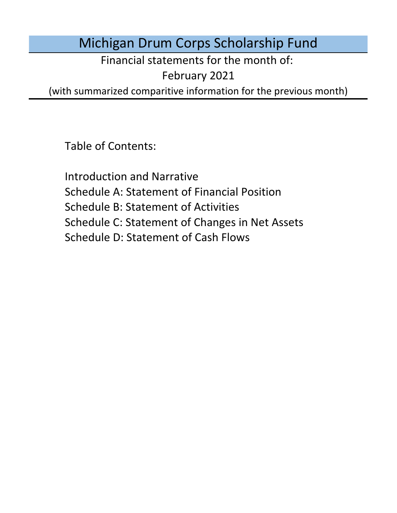# Michigan Drum Corps Scholarship Fund

Financial statements for the month of:

February 2021

(with summarized comparitive information for the previous month)

Table of Contents:

Schedule D: Statement of Cash Flows Introduction and Narrative Schedule A: Statement of Financial Position Schedule B: Statement of Activities Schedule C: Statement of Changes in Net Assets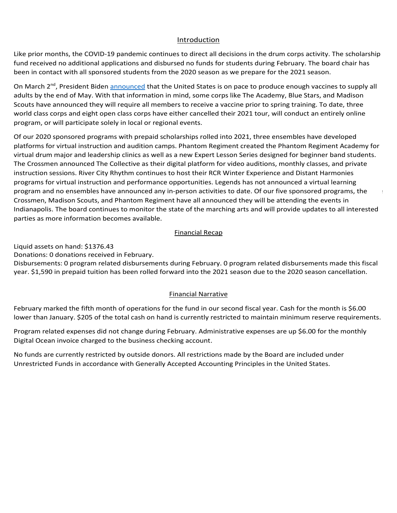### Introduction Introduction Introduction

<u>Introduction</u><br>Like prior months, the COVID-19 pandemic continues to direct all decisions in the drum corps activity. The scholarship Like prior months, the COVID-19 pandemic continues to direct all decisions in the drum corps activity. The scholarship<br>fund received no additional applications and disbursed no funds for students during February. The board been in contact with all sponsored students from the 2020 season as we prepare for the 2021 season. Introduction<br>Introductioncorps activity. The scholarsh in the drum corps activity. The scholarsh in the fund for students d<br>I no additional applications and disbursed no funds for students during February. The board chair Like prior months, the COVID-19 pandemic continues to direct all decisions in the drum corps activity. The scholarship

On March 2<sup>nd</sup>, President Biden announced that the United States is on pace to produce enough vaccines to supply all adults by the end of May. With that information in mind, some corps like The Academy, Blue Stars, and Madison<br>Security have approvinced the position with a pulsa show to accept a consideration to end a training. To data th world class corps and eight open cl program, or will participate solely in local or regional events. e end of way. With that information in min<br>announced they will require all members t<br>orps and eight open class corps have eithe<br>will participate solely in local or regional ev addits by the end of May. With that information in filling, some corps like The Academy, Bue Stars, and Madison<br>Scouts have announced they will require all members to receive a vaccine prior to spring training. To date, th scouts have announced they will require an inembers to receive a vaccine prior to spring training. To date, three<br>world class corps and eight open class corps have either cancelled their 2021 tour, will conduct an entirely Drum and Bugle Corps. With growing concerns of a second wave of COVID-19 across the United States, the December. As a result, \$900 in tuition support has been reclassified as prepaid tuition for 2021 pending On march 2, Fresident bluen <u>announced</u> that the Onited States is on pace to produce enough vacuities to supply an<br>colube last has end of May Mith that information in mind, access come like The Academy. Plus Greecend Madis addits by the end of may, with that information in filling, some corps like file Academy, blue stars, a<br>Contribution of the 2021 season. The 2021 season. The 2021 season. The 2021 season. The 2021 season. The 2021 On march 2, The sident bluen <u>announced</u> that the Onited states is on pace to produce enough vacuues to supply an<br>colube leader and of May Mitch that is formation in mind, come come like The Academy. Plus Greece and Madiso adults by the end of May. With that information in mind, some corps like The Academy, Blue Stars, and Madison<br>Carry the Carry of The Charles Tennis and Tennis and Tennis and Tennis and Tennis and Tennis and Tennis and Te

Of our 2020 sponsored programs with prepaid scholarships rolled into 2021, three ensembles have developed virtual drum major and leadership clinics as well as a new Expert Lesson Series designed for beginner band students. instruction sessions. River City Rhythm continues to host their RCR Winter Experience and Distant Harmonies programs for virtual instruction and performance opportunities. Legends has not announced a virtual learning program and no ensembles have announced any in-person activities to date. Of our five sponsored programs, the Crossmen, Madison Scouts, and Phantom Regiment have all announced they will be attending the events in<br>Indianapolis. The board continues to monitor the state of the marching arts and will provide updates to all interested<br> monthly digital Ocean information becomes available.<br>Program experience information becomes available. virtual drum major and leadership clinics as well as a new Expert Lesson Series designed for beginner band stude<br>The Crossmen announced The Collective as their digital platform for video auditions, monthly classes, and pri Of our 2020 sponsored programs with prepaid scholarships rolled into 2021, three ensembles have developed<br>platforms for virtual instruction and audition camps. Phantom Regiment created the Phantom Regiment Academy for<br>virt month is \$458.20 lower than February. \$205 of the total cash on hand is currently restricted to maintain Donations: 0 donations received during May. each corps in a bubble to limit the spread of the virus. Monthly Financial Recap Pfizer's announcement and the WHO resources. participating in the 2021 season. The board will continue to monitor the state of the marching arts and will provide of the marching arts and will provide updates to all interested parties as more information becomes available. program and no ensembles have announced any in-person activities to date. Of our five sponsored programs, the Crossmen, Madison Scouts, and Phantom Regiment have all announced they will be attending the events in The Crossmen announced The Collective as their digital platform for video auditions, monthly classes, and private<br>Instruction sessions. River City Rhythm continues to host their RCR Winter Experience and Distant Harmonies ial applications and disbursed no funds for students during February. The board chair has<br>oonsored students from the 2020 season as we prepare for the 2021 season.<br>Biden <u>announced</u> that the United States is on pace to pro demic continues to direct all decisions in the drum corps activity. The scholars<br>ones and disbursed on funds for students during February. The board chair has<br>unced that the United States is on pace to produce enough vacci parties as more information becomes available.  $\blacksquare$ plation is for virtual histruction and audition camps. Filantom Regnient created the Fhantom Regnient Academy i<br>Distruct development had calculated evidence well as a gave Expect Lacage Carias darianced for basic gas based following the annual meeting of voting of volume to the board will continue to monitor the board will continue to monitor the board will continue to monitor the board will continue to monitor the board will continue to mon gram, or will participate solely in local or regional events.<br>Dur 2020 sponsored programs with prepaid scholarships rolled into 2021, three ensembles have developed<br>tforms for virtual instruction and audition camps. Phanto platforms for virtual instruction and audition camps. Phantom Regiment created the Phantom Regiment Academy for<br>virtual drum major and leadership clinics as well as a new Expert Lesson Series designed for beginner band stu

### to increase in February following the recommended disputed disputed disputed disputed disputed disputed disputed  $\mathcal{L}_\text{c}$ Program expenses are expected to increase in future months proportional to donations received. related expenses increased \$1,140 for tuition disbursements during March. Administrative expenses are up the monthly Digital Ocean involvement in the monthly Digital Ocean involvement account. The business checking account of the business checking account of the business checking account. The business checking **Example 2018 Example 2018 Example 2019 Example 2019 Example 2019 Example 2019** <u>Patrician receipeding</u> in December and transferred during January. The components of the components of the components of the components of the components of the components of the components of the components of the compon

 $\mathbf{A}$ With the cancellation of the 2020 season, program expenses are expected to either remain at the year-to-Disbursements: 0 program related disbursements during June. Donations: 0 donations received during July. Donations: 4 PayPal donations transferred in November. Disbursements: 0 program related disbursements during December. 0 program related disbursements made this fiscal Liquid assets on hand: \$1376.43

Liquid assets on nanu. 51370.43<br>Donations: 0 donations received in February.

Disbursements: 0 program related disbursements during February. 0 program related disbursements made this fisca year. \$1,590 in prepaid tuition has been rolled forward into the 2021 season due to the 2020 season cancellation. Einancial Recap<br>1376.43<br>eceived in February.<br>m related disbursements during February. 0<br>uition has been rolled forward into the 2021 Disbursements: 0 program related disbursements during February. 0 program related disbursements made this fiscal Disbursements: 0 program related disbursements during October. 0 program related disbursements made this fiscal

### expenses are up \$6.00 for the monthly Digital Ocean involvement in version in version in version in the monthly Digital Ocean involvement in version in version in version in version in version in version in version in vers  $Ein an cial  $Marrative$$  $F$ inancial Narrative July marked the eleventh month of operations for the fund under its declared fiscal year. Cash for the  $F$ inancial Narrative.  $E$ inancial Narrativo lower than  $\alpha$  the total cash on the total cash on hand is currently restricted to maintain minimum reserves.

February marked the fifth month of operations for the fund in our second fiscal year. Cash for the month is \$6.00 lower than January. \$205 of the total cash on hand is currently restricted to maintain minimum reserve requirements month is 18.000 lower than June. \$200 lower than June. \$205 of the total cash on hand is currently restricted to maintain  $\frac{1}{2}$ lower than June. \$205 the total cash on is currently restricted to maintain Once marked the first month of operations for the fund in our second fiscal year. Cash for month in the month is  $60$  lower frequencies lower than January. \$205 of the total cash on hand is currently restricted to maintain minimum reserve requirem lower than January. \$205 of the total cash on hand is currently restricted to maintain minimum reserve requirements.<br>

made for contracts carried into 2021. monthly Digital Ocean invoice charged to the business checking account. With the cancellation of the 2020 Digital Ocean invoice charged to the business checking account. Program related expenses ald not change during February. Administrative expenses are up \$6.00 for the monthly<br>Pinthleto-date balance of the state of the state of the United States for the William State of \$2,240 or lower Program related expenses decreased \$900 for tuition sponsorships reclassified as prepaid tuition for the Program related expenses did not change during February. Administrative expenses are up \$6.00 for the monthly<br>Digital Ocean involvements expenses decreased \$900 for tuition sponsorships reclassified prepaid tuition the auring February. Auministrative expenses are up \$6.00 for the monthly month is 92.25 higher than July. \$205 of the total cash on hand is currently restricted to maintain restricted Program related expenses did not change during February. Administrative expenses are up \$6.00 for the monthly<br>River to C requirements. Digital Ocean invoice charged to the business checking account. Program related expenses did not change during February. Administrative expenses are up \$6.00 for the mettion Digital Ocean invoice charged to the business checking account. Program related expenses did not change during February. Administrative expenses are up \$6.00 for the monthly<br>Pisited Occar invalue also wed to the law incended in a second

No funds are currently restricted by outside donors. All restrictions made by the Board are included under No funds are currently restricted by outside donors. All restrictions made by the Board are included under the<br>Haroctricted Eunds in accordance with Generally Accorded Accounting Principles in the Haited States Unrestricted Funds in accordance with Generally Accepted Accounting Principles in the United States. of filing feed are considered by the process of the Board are currently included by the Board are included under Digital Ocean invoice charged to the business checking account and PayPal fees on donations received. Unrestricted Funds in accordance with Generally Accepted Accounting Principles in the United States. No funds are currently restricted by outside donors. All restrictions made by the Board are included under No funds are currently restricted by outside donors. All restrictions made by the Board are included under<br>Unastricted Funds in accordance with Gamerally Accounted Accounting Principles in the United States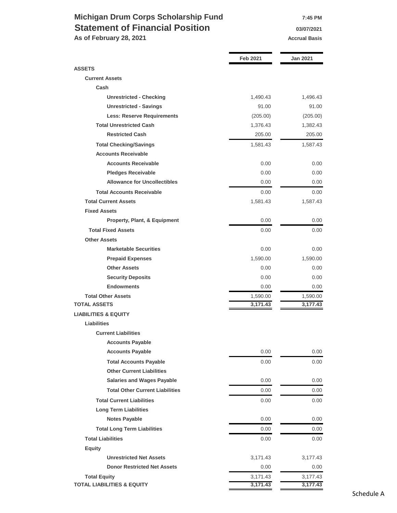### **Michigan Drum Corps Scholarship Fund 7:45 PM Statement of Financial Position 1978** 03/07/2021

As of February 28, 2021 **Accrual Basis Accrual Basis Accrual Basis** 

|                                         | <b>Feb 2021</b> | Jan 2021 |
|-----------------------------------------|-----------------|----------|
| <b>ASSETS</b>                           |                 |          |
| <b>Current Assets</b>                   |                 |          |
| Cash                                    |                 |          |
| <b>Unrestricted - Checking</b>          | 1,490.43        | 1,496.43 |
| <b>Unrestricted - Savings</b>           | 91.00           | 91.00    |
| <b>Less: Reserve Requirements</b>       | (205.00)        | (205.00) |
| <b>Total Unrestricted Cash</b>          | 1,376.43        | 1,382.43 |
| <b>Restricted Cash</b>                  | 205.00          | 205.00   |
| <b>Total Checking/Savings</b>           | 1,581.43        | 1,587.43 |
| <b>Accounts Receivable</b>              |                 |          |
| <b>Accounts Receivable</b>              | 0.00            | 0.00     |
| <b>Pledges Receivable</b>               | 0.00            | 0.00     |
| <b>Allowance for Uncollectibles</b>     | 0.00            | 0.00     |
| <b>Total Accounts Receivable</b>        | 0.00            | 0.00     |
| <b>Total Current Assets</b>             | 1,581.43        | 1,587.43 |
| <b>Fixed Assets</b>                     |                 |          |
| <b>Property, Plant, &amp; Equipment</b> | 0.00            | 0.00     |
| <b>Total Fixed Assets</b>               | 0.00            | 0.00     |
| <b>Other Assets</b>                     |                 |          |
| <b>Marketable Securities</b>            | 0.00            | 0.00     |
| <b>Prepaid Expenses</b>                 | 1,590.00        | 1,590.00 |
| <b>Other Assets</b>                     | 0.00            | 0.00     |
| <b>Security Deposits</b>                | 0.00            | 0.00     |
| <b>Endowments</b>                       | 0.00            | 0.00     |
| <b>Total Other Assets</b>               | 1,590.00        | 1,590.00 |
| <b>TOTAL ASSETS</b>                     | 3,171.43        | 3,177.43 |
| <b>LIABILITIES &amp; EQUITY</b>         |                 |          |
| <b>Liabilities</b>                      |                 |          |
| <b>Current Liabilities</b>              |                 |          |
| <b>Accounts Payable</b>                 |                 |          |
| <b>Accounts Payable</b>                 | 0.00            | 0.00     |
| <b>Total Accounts Payable</b>           | 0.00            | 0.00     |
| <b>Other Current Liabilities</b>        |                 |          |
| <b>Salaries and Wages Payable</b>       | 0.00            | 0.00     |
| <b>Total Other Current Liabilities</b>  | 0.00            | 0.00     |
| <b>Total Current Liabilities</b>        | 0.00            | 0.00     |
| <b>Long Term Liabilities</b>            |                 |          |
| <b>Notes Payable</b>                    | 0.00            | 0.00     |
| <b>Total Long Term Liabilities</b>      | 0.00            | 0.00     |
| <b>Total Liabilities</b>                | 0.00            | 0.00     |
| <b>Equity</b>                           |                 |          |
| <b>Unrestricted Net Assets</b>          | 3,171.43        | 3,177.43 |
| <b>Donor Restricted Net Assets</b>      | 0.00            | $0.00\,$ |
| <b>Total Equity</b>                     | 3,171.43        | 3,177.43 |
| <b>TOTAL LIABILITIES &amp; EQUITY</b>   | 3,171.43        | 3,177.43 |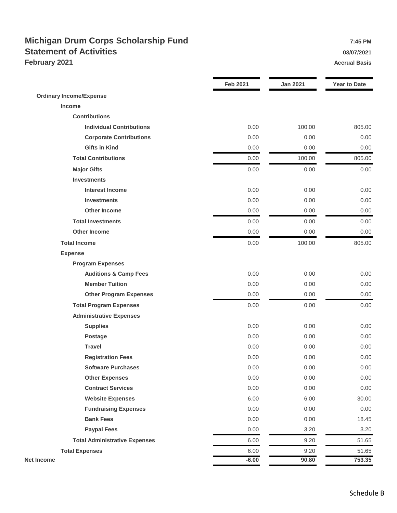### **Michigan Drum Corps Scholarship Fund** *PHOTER SCHOLARS PM* **7:45 PM Statement of Activities 13/07/2021 February 2021 Accrual Basis Accrual Basis Accrual Basis**

|                                      | <b>Feb 2021</b> | <b>Jan 2021</b> | <b>Year to Date</b> |
|--------------------------------------|-----------------|-----------------|---------------------|
| <b>Ordinary Income/Expense</b>       |                 |                 |                     |
| <b>Income</b>                        |                 |                 |                     |
| <b>Contributions</b>                 |                 |                 |                     |
| <b>Individual Contributions</b>      | 0.00            | 100.00          | 805.00              |
| <b>Corporate Contributions</b>       | 0.00            | 0.00            | 0.00                |
| <b>Gifts in Kind</b>                 | 0.00            | 0.00            | 0.00                |
| <b>Total Contributions</b>           | 0.00            | 100.00          | 805.00              |
| <b>Major Gifts</b>                   | 0.00            | 0.00            | 0.00                |
| <b>Investments</b>                   |                 |                 |                     |
| <b>Interest Income</b>               | 0.00            | 0.00            | 0.00                |
| <b>Investments</b>                   | 0.00            | 0.00            | 0.00                |
| <b>Other Income</b>                  | 0.00            | 0.00            | 0.00                |
| <b>Total Investments</b>             | 0.00            | 0.00            | 0.00                |
| <b>Other Income</b>                  | 0.00            | 0.00            | 0.00                |
| <b>Total Income</b>                  | 0.00            | 100.00          | 805.00              |
| <b>Expense</b>                       |                 |                 |                     |
| <b>Program Expenses</b>              |                 |                 |                     |
| <b>Auditions &amp; Camp Fees</b>     | 0.00            | 0.00            | 0.00                |
| <b>Member Tuition</b>                | 0.00            | 0.00            | 0.00                |
| <b>Other Program Expenses</b>        | 0.00            | 0.00            | 0.00                |
| <b>Total Program Expenses</b>        | 0.00            | 0.00            | 0.00                |
| <b>Administrative Expenses</b>       |                 |                 |                     |
| <b>Supplies</b>                      | 0.00            | 0.00            | 0.00                |
| <b>Postage</b>                       | 0.00            | 0.00            | 0.00                |
| <b>Travel</b>                        | 0.00            | 0.00            | 0.00                |
| <b>Registration Fees</b>             | 0.00            | 0.00            | 0.00                |
| <b>Software Purchases</b>            | 0.00            | 0.00            | 0.00                |
| <b>Other Expenses</b>                | 0.00            | 0.00            | 0.00                |
| <b>Contract Services</b>             | 0.00            | 0.00            | 0.00                |
| <b>Website Expenses</b>              | 6.00            | 6.00            | 30.00               |
| <b>Fundraising Expenses</b>          | 0.00            | 0.00            | 0.00                |
| <b>Bank Fees</b>                     | 0.00            | 0.00            | 18.45               |
| <b>Paypal Fees</b>                   | 0.00            | 3.20            | 3.20                |
| <b>Total Administrative Expenses</b> | 6.00            | 9.20            | 51.65               |
| <b>Total Expenses</b>                | 6.00            | 9.20            | 51.65               |
| <b>Net Income</b>                    | $-6.00$         | 90.80           | 753.35              |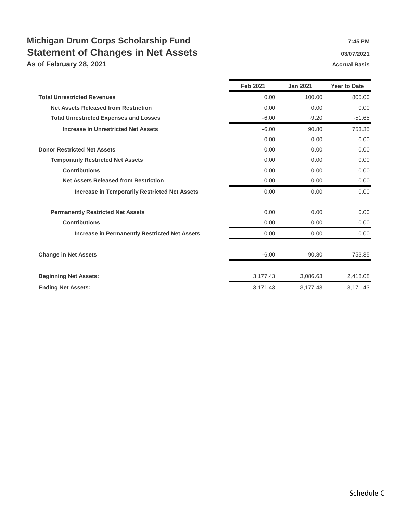## **Michigan Drum Corps Scholarship Fund** *Particulary <b>7:45 PM 7:45 PM* **Statement of Changes in Net Assets 1988 1989 1989 1989 1989 1989 1989 1989 1999 1999 1999 1999 1999 1999 1999 1999 1999 1999 1999 1999 1999 1999 1999 1999 1999 1999 19**

**As of February 28, 2021 Accrual Basis Accrual Basis Accrual Basis** 

|                                                      | <b>Feb 2021</b> | <b>Jan 2021</b> | <b>Year to Date</b> |
|------------------------------------------------------|-----------------|-----------------|---------------------|
| <b>Total Unrestricted Revenues</b>                   | 0.00            | 100.00          | 805.00              |
| <b>Net Assets Released from Restriction</b>          | 0.00            | 0.00            | 0.00                |
| <b>Total Unrestricted Expenses and Losses</b>        | $-6.00$         | $-9.20$         | $-51.65$            |
| <b>Increase in Unrestricted Net Assets</b>           | $-6.00$         | 90.80           | 753.35              |
|                                                      | 0.00            | 0.00            | 0.00                |
| <b>Donor Restricted Net Assets</b>                   | 0.00            | 0.00            | 0.00                |
| <b>Temporarily Restricted Net Assets</b>             | 0.00            | 0.00            | 0.00                |
| <b>Contributions</b>                                 | 0.00            | 0.00            | 0.00                |
| <b>Net Assets Released from Restriction</b>          | 0.00            | 0.00            | 0.00                |
| <b>Increase in Temporarily Restricted Net Assets</b> | 0.00            | 0.00            | 0.00                |
| <b>Permanently Restricted Net Assets</b>             | 0.00            | 0.00            | 0.00                |
| <b>Contributions</b>                                 | 0.00            | 0.00            | 0.00                |
| <b>Increase in Permanently Restricted Net Assets</b> | 0.00            | 0.00            | 0.00                |
| <b>Change in Net Assets</b>                          | $-6.00$         | 90.80           | 753.35              |
| <b>Beginning Net Assets:</b>                         | 3,177.43        | 3,086.63        | 2,418.08            |
| <b>Ending Net Assets:</b>                            | 3,171.43        | 3,177.43        | 3,171.43            |